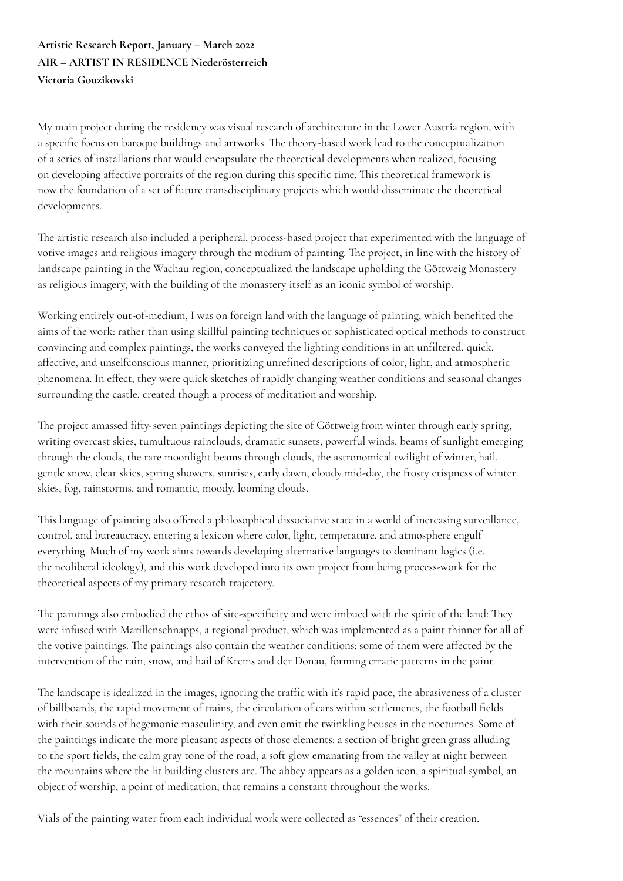## **Artistic Research Report, January – March 2022 AIR – ARTIST IN RESIDENCE Niederösterreich Victoria Gouzikovski**

My main project during the residency was visual research of architecture in the Lower Austria region, with a specific focus on baroque buildings and artworks. The theory-based work lead to the conceptualization of a series of installations that would encapsulate the theoretical developments when realized, focusing on developing affective portraits of the region during this specific time. This theoretical framework is now the foundation of a set of future transdisciplinary projects which would disseminate the theoretical developments.

The artistic research also included a peripheral, process-based project that experimented with the language of votive images and religious imagery through the medium of painting. The project, in line with the history of landscape painting in the Wachau region, conceptualized the landscape upholding the Göttweig Monastery as religious imagery, with the building of the monastery itself as an iconic symbol of worship.

Working entirely out-of-medium, I was on foreign land with the language of painting, which benefited the aims of the work: rather than using skillful painting techniques or sophisticated optical methods to construct convincing and complex paintings, the works conveyed the lighting conditions in an unfiltered, quick, affective, and unselfconscious manner, prioritizing unrefined descriptions of color, light, and atmospheric phenomena. In effect, they were quick sketches of rapidly changing weather conditions and seasonal changes surrounding the castle, created though a process of meditation and worship.

The project amassed fifty-seven paintings depicting the site of Göttweig from winter through early spring, writing overcast skies, tumultuous rainclouds, dramatic sunsets, powerful winds, beams of sunlight emerging through the clouds, the rare moonlight beams through clouds, the astronomical twilight of winter, hail, gentle snow, clear skies, spring showers, sunrises, early dawn, cloudy mid-day, the frosty crispness of winter skies, fog, rainstorms, and romantic, moody, looming clouds.

This language of painting also offered a philosophical dissociative state in a world of increasing surveillance, control, and bureaucracy, entering a lexicon where color, light, temperature, and atmosphere engulf everything. Much of my work aims towards developing alternative languages to dominant logics (i.e. the neoliberal ideology), and this work developed into its own project from being process-work for the theoretical aspects of my primary research trajectory.

The paintings also embodied the ethos of site-specificity and were imbued with the spirit of the land: They were infused with Marillenschnapps, a regional product, which was implemented as a paint thinner for all of the votive paintings. The paintings also contain the weather conditions: some of them were affected by the intervention of the rain, snow, and hail of Krems and der Donau, forming erratic patterns in the paint.

The landscape is idealized in the images, ignoring the traffic with it's rapid pace, the abrasiveness of a cluster of billboards, the rapid movement of trains, the circulation of cars within settlements, the football fields with their sounds of hegemonic masculinity, and even omit the twinkling houses in the nocturnes. Some of the paintings indicate the more pleasant aspects of those elements: a section of bright green grass alluding to the sport fields, the calm gray tone of the road, a soft glow emanating from the valley at night between the mountains where the lit building clusters are. The abbey appears as a golden icon, a spiritual symbol, an object of worship, a point of meditation, that remains a constant throughout the works.

Vials of the painting water from each individual work were collected as "essences" of their creation.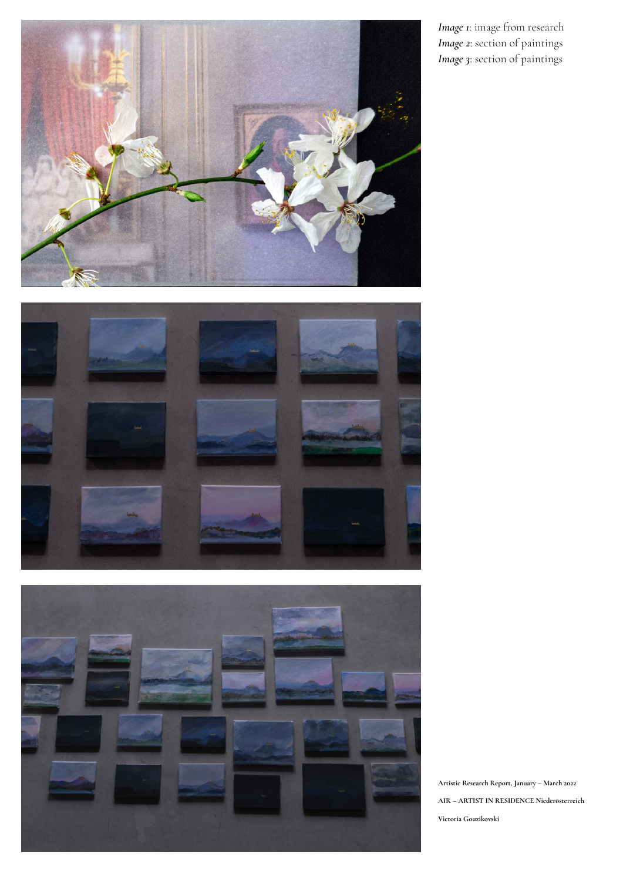

*Image 1*: image from research *Image 2*: section of paintings *Image 3*: section of paintings





**Artistic Research Report, January – March 2022 AIR – ARTIST IN RESIDENCE Niederösterreich Victoria Gouzikovski**